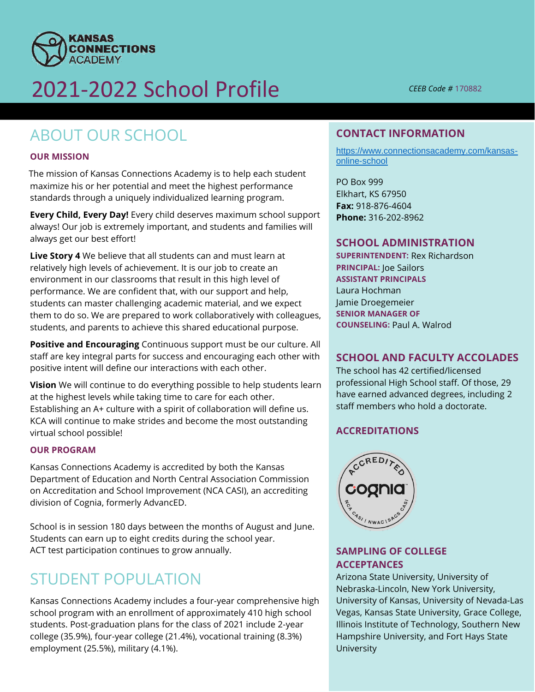

# 2021-2022 School Profile *CEEB Code #* <sup>170882</sup>

## ABOUT OUR SCHOOL

#### **OUR MISSION**

The mission of Kansas Connections Academy is to help each student maximize his or her potential and meet the highest performance standards through a uniquely individualized learning program.

**Every Child, Every Day!** Every child deserves maximum school support always! Our job is extremely important, and students and families will always get our best effort!

**Live Story 4** We believe that all students can and must learn at relatively high levels of achievement. It is our job to create an environment in our classrooms that result in this high level of performance. We are confident that, with our support and help, students can master challenging academic material, and we expect them to do so. We are prepared to work collaboratively with colleagues, students, and parents to achieve this shared educational purpose.

 **Positive and Encouraging** Continuous support must be our culture. All positive intent will define our interactions with each other. staff are key integral parts for success and encouraging each other with

**Vision** We will continue to do everything possible to help students learn at the highest levels while taking time to care for each other. Establishing an A+ culture with a spirit of collaboration will define us. KCA will continue to make strides and become the most outstanding virtual school possible!

#### **OUR PROGRAM**

Kansas Connections Academy is accredited by both the Kansas Department of Education and North Central Association Commission on Accreditation and School Improvement (NCA CASI), an accrediting division of Cognia, formerly AdvancED.

School is in session 180 days between the months of August and June. Students can earn up to eight credits during the school year. ACT test participation continues to grow annually.

## STUDENT POPULATION

Kansas Connections Academy includes a four-year comprehensive high school program with an enrollment of approximately 410 high school students. Post-graduation plans for the class of 2021 include 2-year college (35.9%), four-year college (21.4%), vocational training (8.3%) employment (25.5%), military (4.1%).

#### **CONTACT INFORMATION**

[https://www.connectionsacademy.com/kansas](https://www.connectionsacademy.com/kansas-online-school)[online-school](https://www.connectionsacademy.com/kansas-online-school) 

 PO Box 999 Elkhart, KS 67950 **Fax:** 918-876-4604 **Phone:** 316-202-8962

#### **SCHOOL ADMINISTRATION**

**SUPERINTENDENT:** Rex Richardson **PRINCIPAL:** Joe Sailors **ASSISTANT PRINCIPALS**  Laura Hochman Jamie Droegemeier **SENIOR MANAGER OF COUNSELING:** Paul A. Walrod

### **SCHOOL AND FACULTY ACCOLADES**

 The school has 42 certified/licensed have earned advanced degrees, including 2 professional High School staff. Of those, 29 staff members who hold a doctorate.

#### **ACCREDITATIONS**



#### **SAMPLING OF COLLEGE ACCEPTANCES**

 Nebraska-Lincoln, New York University, University of Kansas, University of Nevada-Las Vegas, Kansas State University, Grace College, Illinois Institute of Technology, Southern New Hampshire University, and Fort Hays State Arizona State University, University of University